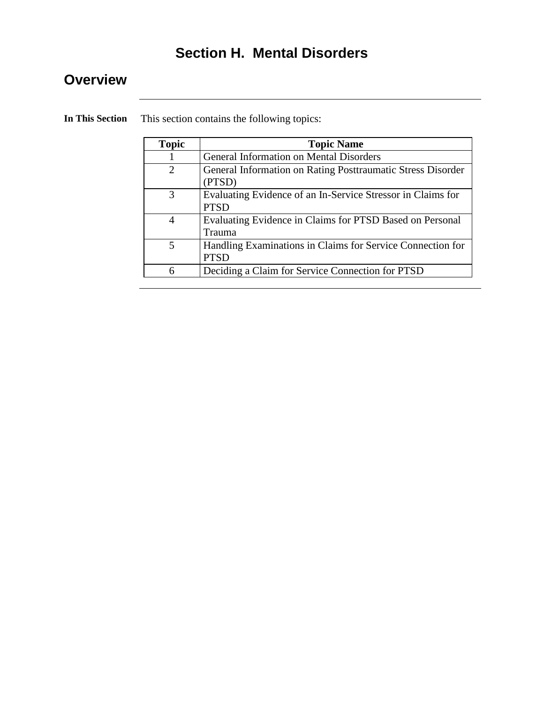# **Section H. Mental Disorders**

## **Overview**

**In This Section** This section contains the following topics:

| <b>Topic</b>   | <b>Topic Name</b>                                                          |
|----------------|----------------------------------------------------------------------------|
|                | General Information on Mental Disorders                                    |
| $\overline{2}$ | General Information on Rating Posttraumatic Stress Disorder<br>(PTSD)      |
| 3              | Evaluating Evidence of an In-Service Stressor in Claims for<br><b>PTSD</b> |
| 4              | Evaluating Evidence in Claims for PTSD Based on Personal<br>Trauma         |
| 5              | Handling Examinations in Claims for Service Connection for<br><b>PTSD</b>  |
| 6              | Deciding a Claim for Service Connection for PTSD                           |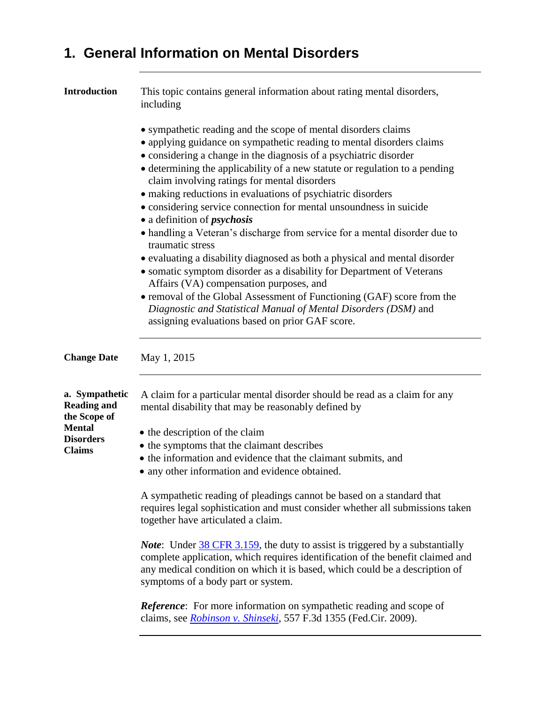# **1. General Information on Mental Disorders**

| <b>Introduction</b>                                  | This topic contains general information about rating mental disorders,<br>including                                                                                                                                                                                                                                                                                                                        |
|------------------------------------------------------|------------------------------------------------------------------------------------------------------------------------------------------------------------------------------------------------------------------------------------------------------------------------------------------------------------------------------------------------------------------------------------------------------------|
|                                                      | • sympathetic reading and the scope of mental disorders claims<br>• applying guidance on sympathetic reading to mental disorders claims<br>• considering a change in the diagnosis of a psychiatric disorder<br>• determining the applicability of a new statute or regulation to a pending<br>claim involving ratings for mental disorders<br>• making reductions in evaluations of psychiatric disorders |
|                                                      | • considering service connection for mental unsoundness in suicide<br>• a definition of <i>psychosis</i><br>• handling a Veteran's discharge from service for a mental disorder due to<br>traumatic stress                                                                                                                                                                                                 |
|                                                      | • evaluating a disability diagnosed as both a physical and mental disorder<br>• somatic symptom disorder as a disability for Department of Veterans<br>Affairs (VA) compensation purposes, and                                                                                                                                                                                                             |
|                                                      | • removal of the Global Assessment of Functioning (GAF) score from the<br>Diagnostic and Statistical Manual of Mental Disorders (DSM) and<br>assigning evaluations based on prior GAF score.                                                                                                                                                                                                               |
| <b>Change Date</b>                                   | May 1, 2015                                                                                                                                                                                                                                                                                                                                                                                                |
| a. Sympathetic<br><b>Reading and</b><br>the Scope of | A claim for a particular mental disorder should be read as a claim for any<br>mental disability that may be reasonably defined by                                                                                                                                                                                                                                                                          |
| Mental<br><b>Disorders</b><br><b>Claims</b>          | • the description of the claim<br>• the symptoms that the claimant describes<br>• the information and evidence that the claimant submits, and<br>• any other information and evidence obtained.                                                                                                                                                                                                            |
|                                                      | A sympathetic reading of pleadings cannot be based on a standard that<br>requires legal sophistication and must consider whether all submissions taken<br>together have articulated a claim.                                                                                                                                                                                                               |
|                                                      | <i>Note</i> : Under 38 CFR 3.159, the duty to assist is triggered by a substantially<br>complete application, which requires identification of the benefit claimed and<br>any medical condition on which it is based, which could be a description of<br>symptoms of a body part or system.                                                                                                                |
|                                                      | <b>Reference:</b> For more information on sympathetic reading and scope of<br>claims, see <i>Robinson v. Shinseki</i> , 557 F.3d 1355 (Fed.Cir. 2009).                                                                                                                                                                                                                                                     |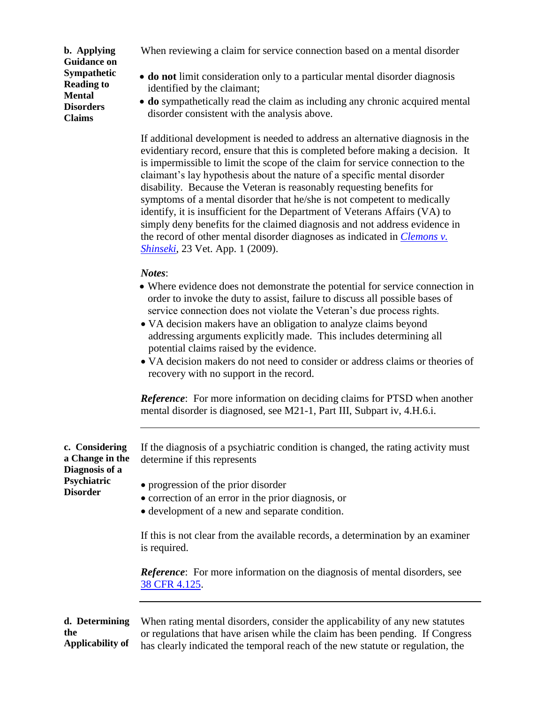**b. Applying Guidance on Sympathetic Reading to Mental Disorders Claims**

When reviewing a claim for service connection based on a mental disorder

- **do not** limit consideration only to a particular mental disorder diagnosis identified by the claimant;
- **do** sympathetically read the claim as including any chronic acquired mental disorder consistent with the analysis above.

If additional development is needed to address an alternative diagnosis in the evidentiary record, ensure that this is completed before making a decision. It is impermissible to limit the scope of the claim for service connection to the claimant's lay hypothesis about the nature of a specific mental disorder disability. Because the Veteran is reasonably requesting benefits for symptoms of a mental disorder that he/she is not competent to medically identify, it is insufficient for the Department of Veterans Affairs (VA) to simply deny benefits for the claimed diagnosis and not address evidence in the record of other mental disorder diagnoses as indicated in *[Clemons v.](http://vbaw.vba.va.gov/bl/21/advisory/CAVCDAD.htm#bmc)  [Shinseki](http://vbaw.vba.va.gov/bl/21/advisory/CAVCDAD.htm#bmc)*, 23 Vet. App. 1 (2009).

#### *Notes*:

- Where evidence does not demonstrate the potential for service connection in order to invoke the duty to assist, failure to discuss all possible bases of service connection does not violate the Veteran's due process rights.
- VA decision makers have an obligation to analyze claims beyond addressing arguments explicitly made. This includes determining all potential claims raised by the evidence.
- VA decision makers do not need to consider or address claims or theories of recovery with no support in the record.

*Reference*: For more information on deciding claims for PTSD when another mental disorder is diagnosed, see M21-1, Part III, Subpart iv, 4.H.6.i.

**c. Considering a Change in the Diagnosis of a Psychiatric Disorder** 

If the diagnosis of a psychiatric condition is changed, the rating activity must determine if this represents

- progression of the prior disorder
- correction of an error in the prior diagnosis, or
- development of a new and separate condition.

If this is not clear from the available records, a determination by an examiner is required.

*Reference*: For more information on the diagnosis of mental disorders, see [38 CFR 4.125.](http://www.ecfr.gov/cgi-bin/text-idx?SID=8243952e4c087d519ead7ee07bbcc9fd&node=se38.1.4_1125&rgn=div8)

**d. Determining the Applicability of**  When rating mental disorders, consider the applicability of any new statutes or regulations that have arisen while the claim has been pending. If Congress has clearly indicated the temporal reach of the new statute or regulation, the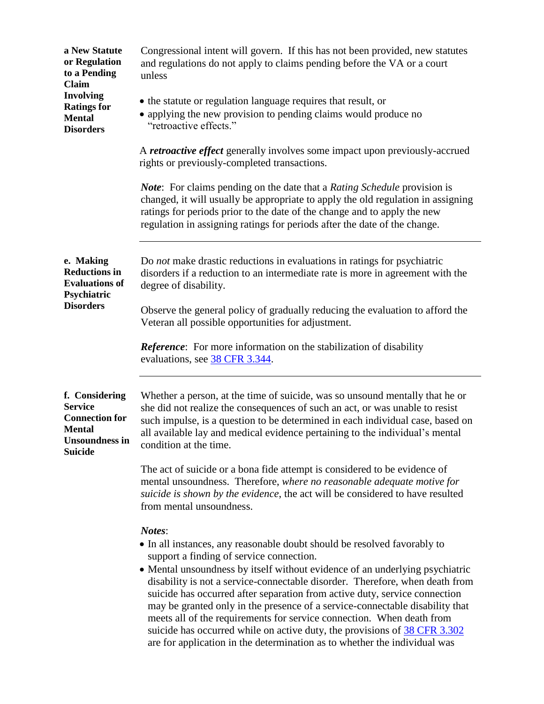| a New Statute<br>or Regulation<br>to a Pending<br>Claim                                                        | Congressional intent will govern. If this has not been provided, new statutes<br>and regulations do not apply to claims pending before the VA or a court<br>unless                                                                                                                                                                                                                                                                                                                                                                                                                                                                                                                              |
|----------------------------------------------------------------------------------------------------------------|-------------------------------------------------------------------------------------------------------------------------------------------------------------------------------------------------------------------------------------------------------------------------------------------------------------------------------------------------------------------------------------------------------------------------------------------------------------------------------------------------------------------------------------------------------------------------------------------------------------------------------------------------------------------------------------------------|
| <b>Involving</b><br><b>Ratings for</b><br><b>Mental</b><br><b>Disorders</b>                                    | • the statute or regulation language requires that result, or<br>• applying the new provision to pending claims would produce no<br>"retroactive effects."                                                                                                                                                                                                                                                                                                                                                                                                                                                                                                                                      |
|                                                                                                                | A <i>retroactive effect</i> generally involves some impact upon previously-accrued<br>rights or previously-completed transactions.                                                                                                                                                                                                                                                                                                                                                                                                                                                                                                                                                              |
|                                                                                                                | <b>Note:</b> For claims pending on the date that a <i>Rating Schedule</i> provision is<br>changed, it will usually be appropriate to apply the old regulation in assigning<br>ratings for periods prior to the date of the change and to apply the new<br>regulation in assigning ratings for periods after the date of the change.                                                                                                                                                                                                                                                                                                                                                             |
| e. Making<br><b>Reductions in</b><br><b>Evaluations of</b><br>Psychiatric<br><b>Disorders</b>                  | Do not make drastic reductions in evaluations in ratings for psychiatric<br>disorders if a reduction to an intermediate rate is more in agreement with the<br>degree of disability.                                                                                                                                                                                                                                                                                                                                                                                                                                                                                                             |
|                                                                                                                | Observe the general policy of gradually reducing the evaluation to afford the<br>Veteran all possible opportunities for adjustment.                                                                                                                                                                                                                                                                                                                                                                                                                                                                                                                                                             |
|                                                                                                                | <b>Reference:</b> For more information on the stabilization of disability<br>evaluations, see 38 CFR 3.344.                                                                                                                                                                                                                                                                                                                                                                                                                                                                                                                                                                                     |
| f. Considering<br><b>Service</b><br><b>Connection for</b><br><b>Mental</b><br>Unsoundness in<br><b>Suicide</b> | Whether a person, at the time of suicide, was so unsound mentally that he or<br>she did not realize the consequences of such an act, or was unable to resist<br>such impulse, is a question to be determined in each individual case, based on<br>all available lay and medical evidence pertaining to the individual's mental<br>condition at the time.                                                                                                                                                                                                                                                                                                                                        |
|                                                                                                                | The act of suicide or a bona fide attempt is considered to be evidence of<br>mental unsoundness. Therefore, where no reasonable adequate motive for<br>suicide is shown by the evidence, the act will be considered to have resulted<br>from mental unsoundness.                                                                                                                                                                                                                                                                                                                                                                                                                                |
|                                                                                                                | Notes:<br>• In all instances, any reasonable doubt should be resolved favorably to<br>support a finding of service connection.<br>• Mental unsoundness by itself without evidence of an underlying psychiatric<br>disability is not a service-connectable disorder. Therefore, when death from<br>suicide has occurred after separation from active duty, service connection<br>may be granted only in the presence of a service-connectable disability that<br>meets all of the requirements for service connection. When death from<br>suicide has occurred while on active duty, the provisions of 38 CFR 3.302<br>are for application in the determination as to whether the individual was |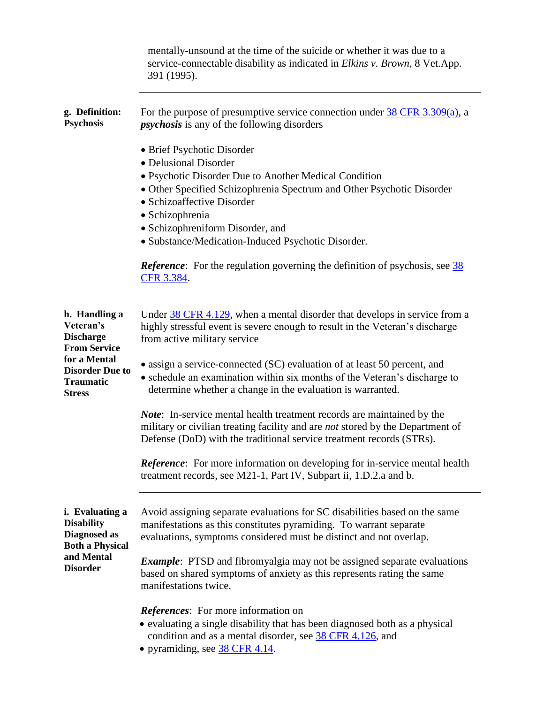|                                                                                       | mentally-unsound at the time of the suicide or whether it was due to a<br>service-connectable disability as indicated in <i>Elkins v. Brown</i> , 8 Vet.App.<br>391 (1995).                                                                                                                                                      |
|---------------------------------------------------------------------------------------|----------------------------------------------------------------------------------------------------------------------------------------------------------------------------------------------------------------------------------------------------------------------------------------------------------------------------------|
| g. Definition:<br><b>Psychosis</b>                                                    | For the purpose of presumptive service connection under $\frac{38 \text{ CFR } 3.309(a)}{a}$ , a<br><i>psychosis</i> is any of the following disorders                                                                                                                                                                           |
|                                                                                       | • Brief Psychotic Disorder<br>• Delusional Disorder<br>• Psychotic Disorder Due to Another Medical Condition<br>• Other Specified Schizophrenia Spectrum and Other Psychotic Disorder<br>• Schizoaffective Disorder<br>· Schizophrenia<br>• Schizophreniform Disorder, and<br>· Substance/Medication-Induced Psychotic Disorder. |
|                                                                                       | <b>Reference:</b> For the regulation governing the definition of psychosis, see 38<br>CFR 3.384.                                                                                                                                                                                                                                 |
| h. Handling a<br>Veteran's<br><b>Discharge</b><br><b>From Service</b>                 | Under 38 CFR 4.129, when a mental disorder that develops in service from a<br>highly stressful event is severe enough to result in the Veteran's discharge<br>from active military service                                                                                                                                       |
| for a Mental<br><b>Disorder Due to</b><br><b>Traumatic</b><br><b>Stress</b>           | • assign a service-connected (SC) evaluation of at least 50 percent, and<br>• schedule an examination within six months of the Veteran's discharge to<br>determine whether a change in the evaluation is warranted.                                                                                                              |
|                                                                                       | <i>Note</i> : In-service mental health treatment records are maintained by the<br>military or civilian treating facility and are <i>not</i> stored by the Department of<br>Defense (DoD) with the traditional service treatment records (STRs).                                                                                  |
|                                                                                       | <b>Reference:</b> For more information on developing for in-service mental health<br>treatment records, see M21-1, Part IV, Subpart ii, 1.D.2.a and b.                                                                                                                                                                           |
| i. Evaluating a<br><b>Disability</b><br><b>Diagnosed</b> as<br><b>Both a Physical</b> | Avoid assigning separate evaluations for SC disabilities based on the same<br>manifestations as this constitutes pyramiding. To warrant separate<br>evaluations, symptoms considered must be distinct and not overlap.                                                                                                           |
| and Mental<br><b>Disorder</b>                                                         | <i>Example</i> : PTSD and fibromyalgia may not be assigned separate evaluations<br>based on shared symptoms of anxiety as this represents rating the same<br>manifestations twice.                                                                                                                                               |
|                                                                                       | <i>References:</i> For more information on<br>• evaluating a single disability that has been diagnosed both as a physical<br>condition and as a mental disorder, see 38 CFR 4.126, and<br>• pyramiding, see 38 CFR 4.14.                                                                                                         |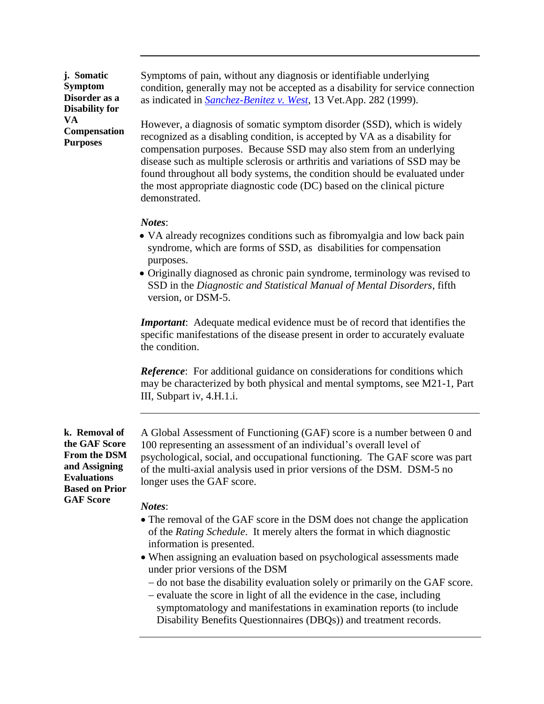**j. Somatic Symptom Disorder as a Disability for VA Compensation Purposes**

Symptoms of pain, without any diagnosis or identifiable underlying condition, generally may not be accepted as a disability for service connection as indicated in *[Sanchez-Benitez v. West](http://vbaw.vba.va.gov/bl/21/advisory/CAVC/1999dec/San_Beni.doc)*, 13 Vet.App. 282 (1999).

However, a diagnosis of somatic symptom disorder (SSD), which is widely recognized as a disabling condition, is accepted by VA as a disability for compensation purposes. Because SSD may also stem from an underlying disease such as multiple sclerosis or arthritis and variations of SSD may be found throughout all body systems, the condition should be evaluated under the most appropriate diagnostic code (DC) based on the clinical picture demonstrated.

### *Notes*:

- VA already recognizes conditions such as fibromyalgia and low back pain syndrome, which are forms of SSD, as disabilities for compensation purposes.
- Originally diagnosed as chronic pain syndrome, terminology was revised to SSD in the *Diagnostic and Statistical Manual of Mental Disorders*, fifth version, or DSM-5.

*Important*: Adequate medical evidence must be of record that identifies the specific manifestations of the disease present in order to accurately evaluate the condition.

*Reference*: For additional guidance on considerations for conditions which may be characterized by both physical and mental symptoms, see M21-1, Part III, Subpart iv, 4.H.1.i.

**k. Removal of the GAF Score From the DSM and Assigning Evaluations Based on Prior GAF Score**

A Global Assessment of Functioning (GAF) score is a number between 0 and 100 representing an assessment of an individual's overall level of psychological, social, and occupational functioning. The GAF score was part of the multi-axial analysis used in prior versions of the DSM. DSM-5 no longer uses the GAF score.

### *Notes*:

- The removal of the GAF score in the DSM does not change the application of the *Rating Schedule*. It merely alters the format in which diagnostic information is presented.
- When assigning an evaluation based on psychological assessments made under prior versions of the DSM
	- do not base the disability evaluation solely or primarily on the GAF score.
	- evaluate the score in light of all the evidence in the case, including symptomatology and manifestations in examination reports (to include Disability Benefits Questionnaires (DBQs)) and treatment records.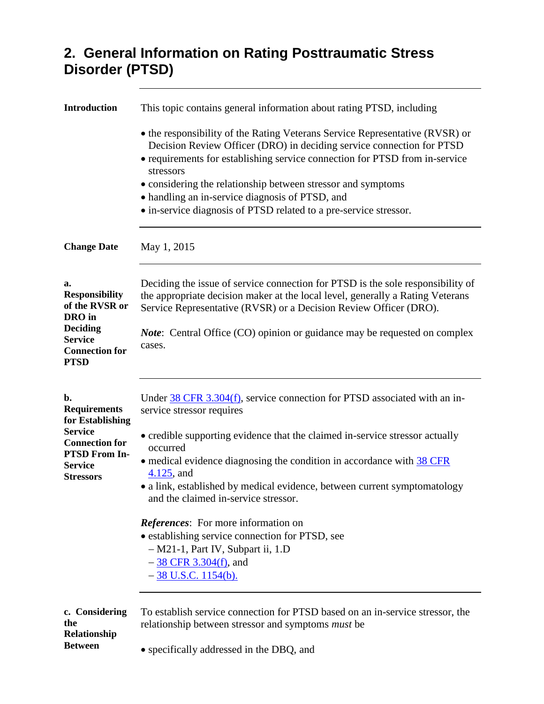## **2. General Information on Rating Posttraumatic Stress Disorder (PTSD)**

| <b>Introduction</b>                                                       | This topic contains general information about rating PTSD, including                                                                                                                                                                              |
|---------------------------------------------------------------------------|---------------------------------------------------------------------------------------------------------------------------------------------------------------------------------------------------------------------------------------------------|
|                                                                           | • the responsibility of the Rating Veterans Service Representative (RVSR) or<br>Decision Review Officer (DRO) in deciding service connection for PTSD<br>• requirements for establishing service connection for PTSD from in-service<br>stressors |
|                                                                           | • considering the relationship between stressor and symptoms                                                                                                                                                                                      |
|                                                                           | • handling an in-service diagnosis of PTSD, and                                                                                                                                                                                                   |
|                                                                           | • in-service diagnosis of PTSD related to a pre-service stressor.                                                                                                                                                                                 |
| <b>Change Date</b>                                                        | May 1, 2015                                                                                                                                                                                                                                       |
| a.<br><b>Responsibility</b><br>of the RVSR or<br>DRO in                   | Deciding the issue of service connection for PTSD is the sole responsibility of<br>the appropriate decision maker at the local level, generally a Rating Veterans<br>Service Representative (RVSR) or a Decision Review Officer (DRO).            |
| <b>Deciding</b><br><b>Service</b><br><b>Connection for</b><br><b>PTSD</b> | <i>Note</i> : Central Office (CO) opinion or guidance may be requested on complex<br>cases.                                                                                                                                                       |
| b.<br><b>Requirements</b><br>for Establishing                             | Under $\frac{38 \text{ CFR}}{3.304 \text{ (f)}}$ , service connection for PTSD associated with an in-<br>service stressor requires                                                                                                                |
| <b>Service</b><br><b>Connection for</b>                                   | • credible supporting evidence that the claimed in-service stressor actually<br>occurred                                                                                                                                                          |
| PTSD From In-<br><b>Service</b>                                           | • medical evidence diagnosing the condition in accordance with 38 CFR<br>$4.125$ , and                                                                                                                                                            |
| <b>Stressors</b>                                                          | • a link, established by medical evidence, between current symptomatology<br>and the claimed in-service stressor.                                                                                                                                 |
|                                                                           | References: For more information on                                                                                                                                                                                                               |
|                                                                           | • establishing service connection for PTSD, see                                                                                                                                                                                                   |
|                                                                           | - M21-1, Part IV, Subpart ii, 1.D                                                                                                                                                                                                                 |
|                                                                           | $-38$ CFR 3.304(f), and                                                                                                                                                                                                                           |
|                                                                           | $-38$ U.S.C. 1154(b).                                                                                                                                                                                                                             |
| c. Considering<br>the<br>Relationship                                     | To establish service connection for PTSD based on an in-service stressor, the<br>relationship between stressor and symptoms <i>must</i> be                                                                                                        |
| <b>Between</b>                                                            | • specifically addressed in the DBQ, and                                                                                                                                                                                                          |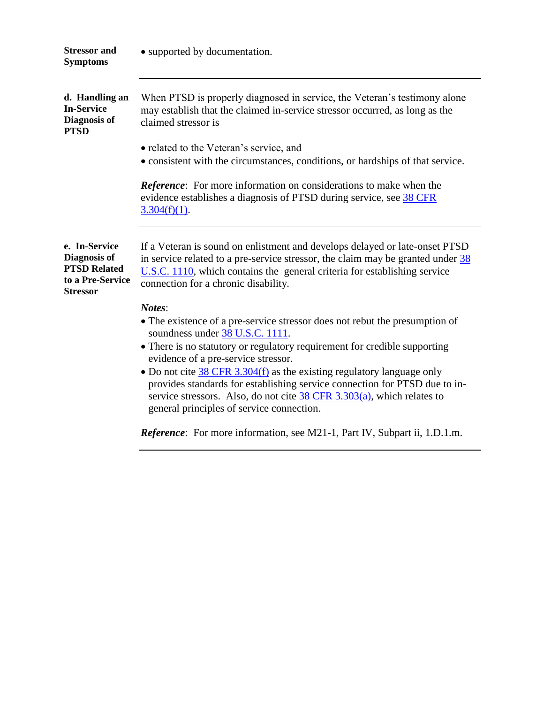| • supported by documentation.                                                                                                                                                                                                                                                                                                              |
|--------------------------------------------------------------------------------------------------------------------------------------------------------------------------------------------------------------------------------------------------------------------------------------------------------------------------------------------|
| When PTSD is properly diagnosed in service, the Veteran's testimony alone<br>may establish that the claimed in-service stressor occurred, as long as the<br>claimed stressor is                                                                                                                                                            |
| • related to the Veteran's service, and<br>• consistent with the circumstances, conditions, or hardships of that service.                                                                                                                                                                                                                  |
| <b>Reference:</b> For more information on considerations to make when the<br>evidence establishes a diagnosis of PTSD during service, see 38 CFR<br>$3.304(f)(1)$ .                                                                                                                                                                        |
| If a Veteran is sound on enlistment and develops delayed or late-onset PTSD<br>in service related to a pre-service stressor, the claim may be granted under $\frac{38}{36}$<br>$U.S.C.$ 1110, which contains the general criteria for establishing service<br>connection for a chronic disability.                                         |
| Notes:<br>• The existence of a pre-service stressor does not rebut the presumption of<br>soundness under 38 U.S.C. 1111.<br>• There is no statutory or regulatory requirement for credible supporting                                                                                                                                      |
| evidence of a pre-service stressor.<br>• Do not cite $38$ CFR 3.304(f) as the existing regulatory language only<br>provides standards for establishing service connection for PTSD due to in-<br>service stressors. Also, do not cite $\frac{38 \text{ CFR } 3.303(a)}{a}$ , which relates to<br>general principles of service connection. |
|                                                                                                                                                                                                                                                                                                                                            |

*Reference*: For more information, see M21-1, Part IV, Subpart ii, 1.D.1.m.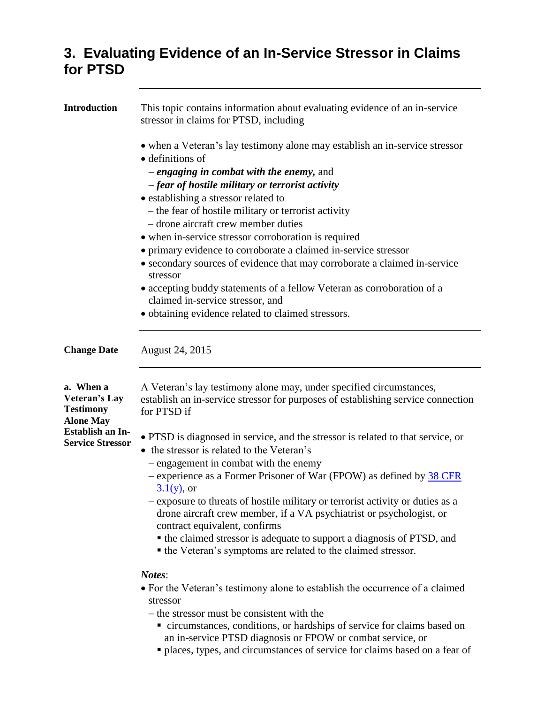## **3. Evaluating Evidence of an In-Service Stressor in Claims for PTSD**

| This topic contains information about evaluating evidence of an in-service<br>stressor in claims for PTSD, including                                                                                                  |
|-----------------------------------------------------------------------------------------------------------------------------------------------------------------------------------------------------------------------|
| • when a Veteran's lay testimony alone may establish an in-service stressor<br>$\bullet$ definitions of                                                                                                               |
| - engaging in combat with the enemy, and                                                                                                                                                                              |
| -fear of hostile military or terrorist activity                                                                                                                                                                       |
| • establishing a stressor related to                                                                                                                                                                                  |
| - the fear of hostile military or terrorist activity<br>- drone aircraft crew member duties                                                                                                                           |
|                                                                                                                                                                                                                       |
| • when in-service stressor corroboration is required                                                                                                                                                                  |
| • primary evidence to corroborate a claimed in-service stressor<br>• secondary sources of evidence that may corroborate a claimed in-service                                                                          |
| stressor                                                                                                                                                                                                              |
| • accepting buddy statements of a fellow Veteran as corroboration of a                                                                                                                                                |
| claimed in-service stressor, and                                                                                                                                                                                      |
| • obtaining evidence related to claimed stressors.                                                                                                                                                                    |
|                                                                                                                                                                                                                       |
| August 24, 2015                                                                                                                                                                                                       |
| A Veteran's lay testimony alone may, under specified circumstances,<br>establish an in-service stressor for purposes of establishing service connection<br>for PTSD if                                                |
| • PTSD is diagnosed in service, and the stressor is related to that service, or<br>• the stressor is related to the Veteran's                                                                                         |
| - engagement in combat with the enemy                                                                                                                                                                                 |
| - experience as a Former Prisoner of War (FPOW) as defined by 38 CFR<br>$3.1(y)$ , or                                                                                                                                 |
| - exposure to threats of hostile military or terrorist activity or duties as a<br>drone aircraft crew member, if a VA psychiatrist or psychologist, or<br>contract equivalent, confirms                               |
| • the claimed stressor is adequate to support a diagnosis of PTSD, and                                                                                                                                                |
| • the Veteran's symptoms are related to the claimed stressor.                                                                                                                                                         |
| Notes:                                                                                                                                                                                                                |
| • For the Veteran's testimony alone to establish the occurrence of a claimed<br>stressor                                                                                                                              |
| - the stressor must be consistent with the                                                                                                                                                                            |
| • circumstances, conditions, or hardships of service for claims based on<br>an in-service PTSD diagnosis or FPOW or combat service, or<br>• places, types, and circumstances of service for claims based on a fear of |
|                                                                                                                                                                                                                       |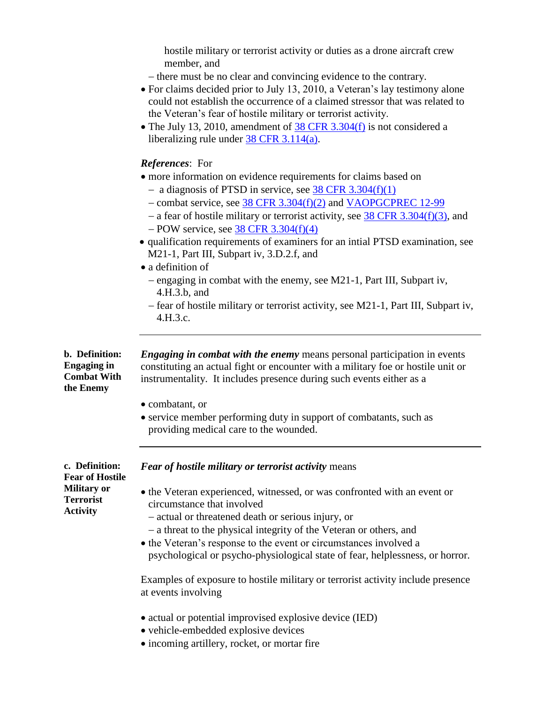hostile military or terrorist activity or duties as a drone aircraft crew member, and

- there must be no clear and convincing evidence to the contrary.
- For claims decided prior to July 13, 2010, a Veteran's lay testimony alone could not establish the occurrence of a claimed stressor that was related to the Veteran's fear of hostile military or terrorist activity.
- The July 13, 2010, amendment of  $\frac{38 \text{ CFR } 3.304 \text{(f)}}{28 \text{ CFR } 3.304 \text{(f)}}$  is not considered a liberalizing rule under  $\frac{38 \text{ CFR } 3.114(a)}{a}$ .

#### *References*: For

- more information on evidence requirements for claims based on
	- a diagnosis of PTSD in service, see  $38$  CFR  $3.304(f)(1)$
	- combat service, see 38 CFR [3.304\(f\)\(2\)](http://www.ecfr.gov/cgi-bin/text-idx?SID=06cf8134ae45dfaba82182c69b61f6c7&node=se38.1.3_1304&rgn=div8) and [VAOPGCPREC 12-99](http://vbaw.vba.va.gov/bl/21/Advisory/PRECOP/99op/Prc12_99.doc)
	- a fear of hostile military or terrorist activity, see  $38$  CFR [3.304\(f\)\(3\),](http://www.ecfr.gov/cgi-bin/text-idx?SID=06cf8134ae45dfaba82182c69b61f6c7&node=se38.1.3_1304&rgn=div8) and
	- $-$  POW service, see 38 CFR [3.304\(f\)\(4\)](http://www.ecfr.gov/cgi-bin/text-idx?SID=06cf8134ae45dfaba82182c69b61f6c7&node=se38.1.3_1304&rgn=div8)
- qualification requirements of examiners for an intial PTSD examination, see M21-1, Part III, Subpart iv, 3.D.2.f, and
- a definition of
	- $-$  engaging in combat with the enemy, see M21-1, Part III, Subpart iv, 4.H.3.b, and
	- fear of hostile military or terrorist activity, see M21-1, Part III, Subpart iv, 4.H.3.c.

**b. Definition: Engaging in Combat With the Enemy**

*Engaging in combat with the enemy* means personal participation in events constituting an actual fight or encounter with a military foe or hostile unit or instrumentality. It includes presence during such events either as a

- combatant, or
- service member performing duty in support of combatants, such as providing medical care to the wounded.

*Fear of hostile military or terrorist activity* means

**c. Definition: Fear of Hostile Military or Terrorist Activity**

- the Veteran experienced, witnessed, or was confronted with an event or circumstance that involved
	- actual or threatened death or serious injury, or
	- a threat to the physical integrity of the Veteran or others, and
- the Veteran's response to the event or circumstances involved a psychological or psycho-physiological state of fear, helplessness, or horror.

Examples of exposure to hostile military or terrorist activity include presence at events involving

- actual or potential improvised explosive device (IED)
- vehicle-embedded explosive devices
- incoming artillery, rocket, or mortar fire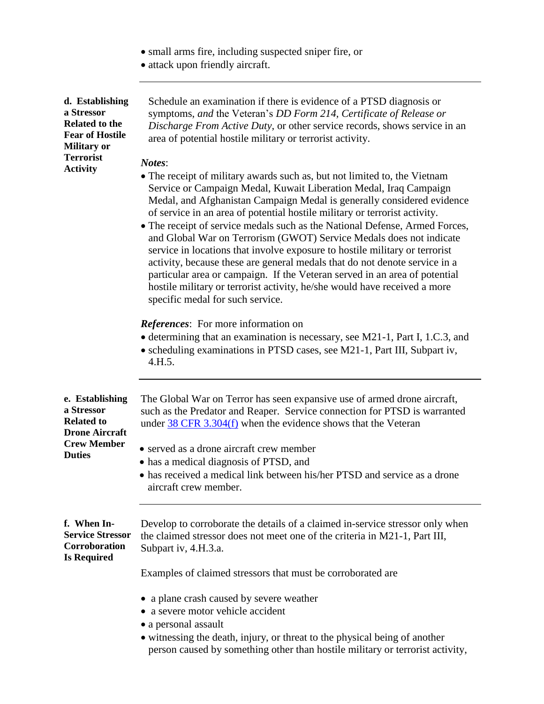- small arms fire, including suspected sniper fire, or
- attack upon friendly aircraft.

| d. Establishing<br>a Stressor<br><b>Related to the</b><br><b>Fear of Hostile</b><br><b>Military or</b><br><b>Terrorist</b><br><b>Activity</b> | Schedule an examination if there is evidence of a PTSD diagnosis or<br>symptoms, and the Veteran's DD Form 214, Certificate of Release or<br>Discharge From Active Duty, or other service records, shows service in an<br>area of potential hostile military or terrorist activity.<br>Notes:<br>• The receipt of military awards such as, but not limited to, the Vietnam<br>Service or Campaign Medal, Kuwait Liberation Medal, Iraq Campaign<br>Medal, and Afghanistan Campaign Medal is generally considered evidence<br>of service in an area of potential hostile military or terrorist activity.<br>• The receipt of service medals such as the National Defense, Armed Forces,<br>and Global War on Terrorism (GWOT) Service Medals does not indicate<br>service in locations that involve exposure to hostile military or terrorist<br>activity, because these are general medals that do not denote service in a<br>particular area or campaign. If the Veteran served in an area of potential<br>hostile military or terrorist activity, he/she would have received a more<br>specific medal for such service.<br><b>References:</b> For more information on<br>• determining that an examination is necessary, see M21-1, Part I, 1.C.3, and<br>• scheduling examinations in PTSD cases, see M21-1, Part III, Subpart iv,<br>4.H.5. |
|-----------------------------------------------------------------------------------------------------------------------------------------------|-------------------------------------------------------------------------------------------------------------------------------------------------------------------------------------------------------------------------------------------------------------------------------------------------------------------------------------------------------------------------------------------------------------------------------------------------------------------------------------------------------------------------------------------------------------------------------------------------------------------------------------------------------------------------------------------------------------------------------------------------------------------------------------------------------------------------------------------------------------------------------------------------------------------------------------------------------------------------------------------------------------------------------------------------------------------------------------------------------------------------------------------------------------------------------------------------------------------------------------------------------------------------------------------------------------------------------------------------|
| e. Establishing<br>a Stressor<br><b>Related to</b><br><b>Drone Aircraft</b><br><b>Crew Member</b><br><b>Duties</b>                            | The Global War on Terror has seen expansive use of armed drone aircraft,<br>such as the Predator and Reaper. Service connection for PTSD is warranted<br>under $38$ CFR 3.304(f) when the evidence shows that the Veteran<br>• served as a drone aircraft crew member<br>• has a medical diagnosis of PTSD, and<br>• has received a medical link between his/her PTSD and service as a drone<br>aircraft crew member.                                                                                                                                                                                                                                                                                                                                                                                                                                                                                                                                                                                                                                                                                                                                                                                                                                                                                                                           |
| f. When In-<br><b>Service Stressor</b><br>Corroboration<br><b>Is Required</b>                                                                 | Develop to corroborate the details of a claimed in-service stressor only when<br>the claimed stressor does not meet one of the criteria in M21-1, Part III,<br>Subpart iv, 4.H.3.a.<br>Examples of claimed stressors that must be corroborated are.<br>• a plane crash caused by severe weather<br>• a severe motor vehicle accident<br>• a personal assault<br>• witnessing the death, injury, or threat to the physical being of another<br>person caused by something other than hostile military or terrorist activity,                                                                                                                                                                                                                                                                                                                                                                                                                                                                                                                                                                                                                                                                                                                                                                                                                     |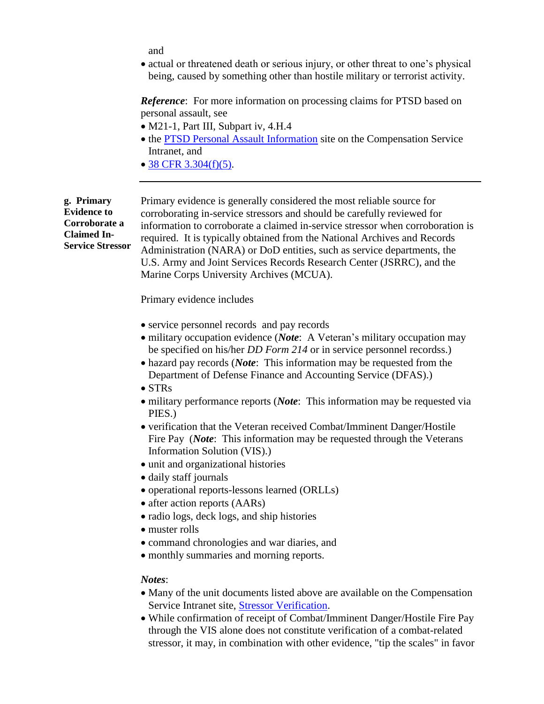and

• actual or threatened death or serious injury, or other threat to one's physical being, caused by something other than hostile military or terrorist activity.

*Reference*: For more information on processing claims for PTSD based on personal assault, see

- M21-1, Part III, Subpart iv, 4.H.4
- the [PTSD Personal Assault Information](http://vbaw.vba.va.gov/bl/21/rating/rat06h.htm) site on the Compensation Service Intranet, and
- $\bullet$  [38 CFR 3.304\(f\)\(5\).](http://www.ecfr.gov/cgi-bin/text-idx?SID=06cf8134ae45dfaba82182c69b61f6c7&node=se38.1.3_1304&rgn=div8)

**g. Primary Evidence to Corroborate a Claimed In-Service Stressor** Primary evidence is generally considered the most reliable source for corroborating in-service stressors and should be carefully reviewed for information to corroborate a claimed in-service stressor when corroboration is required. It is typically obtained from the National Archives and Records Administration (NARA) or DoD entities, such as service departments, the U.S. Army and Joint Services Records Research Center (JSRRC), and the Marine Corps University Archives (MCUA).

Primary evidence includes

- service personnel records and pay records
- military occupation evidence (*Note*: A Veteran's military occupation may be specified on his/her *DD Form 214* or in service personnel recordss.)
- hazard pay records (*Note*: This information may be requested from the Department of Defense Finance and Accounting Service (DFAS).)
- STRs
- military performance reports (*Note*: This information may be requested via PIES.)
- verification that the Veteran received Combat/Imminent Danger/Hostile Fire Pay (*Note*: This information may be requested through the Veterans Information Solution (VIS).)
- unit and organizational histories
- daily staff journals
- operational reports-lessons learned (ORLLs)
- after action reports (AARs)
- radio logs, deck logs, and ship histories
- muster rolls
- command chronologies and war diaries, and
- monthly summaries and morning reports.

#### *Notes*:

- Many of the unit documents listed above are available on the Compensation Service Intranet site, [Stressor Verification.](http://vbaw.vba.va.gov/bl/21/rating/stressor/general.htm)
- While confirmation of receipt of Combat/Imminent Danger/Hostile Fire Pay through the VIS alone does not constitute verification of a combat-related stressor, it may, in combination with other evidence, "tip the scales" in favor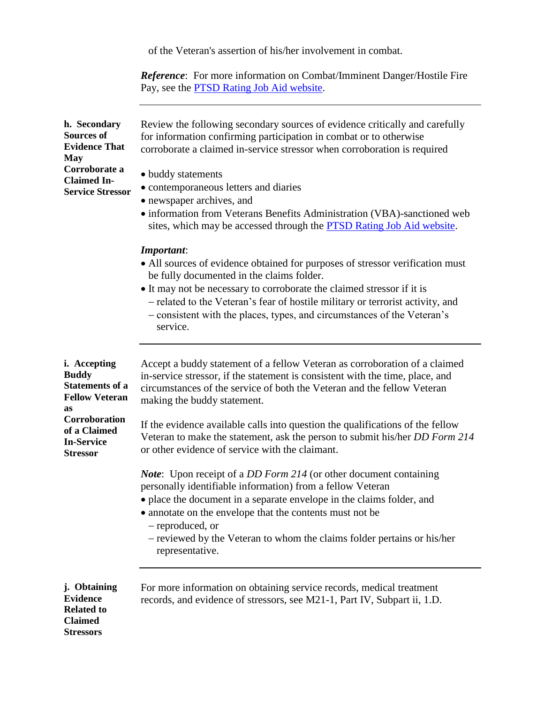of the Veteran's assertion of his/her involvement in combat.

*Reference*: For more information on Combat/Imminent Danger/Hostile Fire Pay, see the **PTSD** Rating Job Aid website.

| h. Secondary<br><b>Sources of</b><br><b>Evidence That</b><br>May<br>Corroborate a<br><b>Claimed In-</b><br><b>Service Stressor</b>                                    | Review the following secondary sources of evidence critically and carefully<br>for information confirming participation in combat or to otherwise<br>corroborate a claimed in-service stressor when corroboration is required<br>• buddy statements<br>• contemporaneous letters and diaries<br>• newspaper archives, and<br>• information from Veterans Benefits Administration (VBA)-sanctioned web<br>sites, which may be accessed through the PTSD Rating Job Aid website.            |
|-----------------------------------------------------------------------------------------------------------------------------------------------------------------------|-------------------------------------------------------------------------------------------------------------------------------------------------------------------------------------------------------------------------------------------------------------------------------------------------------------------------------------------------------------------------------------------------------------------------------------------------------------------------------------------|
|                                                                                                                                                                       | <b>Important:</b><br>• All sources of evidence obtained for purposes of stressor verification must<br>be fully documented in the claims folder.<br>• It may not be necessary to corroborate the claimed stressor if it is<br>- related to the Veteran's fear of hostile military or terrorist activity, and<br>- consistent with the places, types, and circumstances of the Veteran's<br>service.                                                                                        |
| <i>i.</i> Accepting<br><b>Buddy</b><br><b>Statements of a</b><br><b>Fellow Veteran</b><br>as<br>Corroboration<br>of a Claimed<br><b>In-Service</b><br><b>Stressor</b> | Accept a buddy statement of a fellow Veteran as corroboration of a claimed<br>in-service stressor, if the statement is consistent with the time, place, and<br>circumstances of the service of both the Veteran and the fellow Veteran<br>making the buddy statement.<br>If the evidence available calls into question the qualifications of the fellow<br>Veteran to make the statement, ask the person to submit his/her DD Form 214<br>or other evidence of service with the claimant. |
|                                                                                                                                                                       | <i>Note</i> : Upon receipt of a <i>DD Form 214</i> (or other document containing<br>personally identifiable information) from a fellow Veteran<br>• place the document in a separate envelope in the claims folder, and<br>• annotate on the envelope that the contents must not be<br>- reproduced, or<br>- reviewed by the Veteran to whom the claims folder pertains or his/her<br>representative.                                                                                     |
| j. Obtaining<br><b>Evidence</b><br><b>Related to</b><br><b>Claimed</b><br><b>Stressors</b>                                                                            | For more information on obtaining service records, medical treatment<br>records, and evidence of stressors, see M21-1, Part IV, Subpart ii, 1.D.                                                                                                                                                                                                                                                                                                                                          |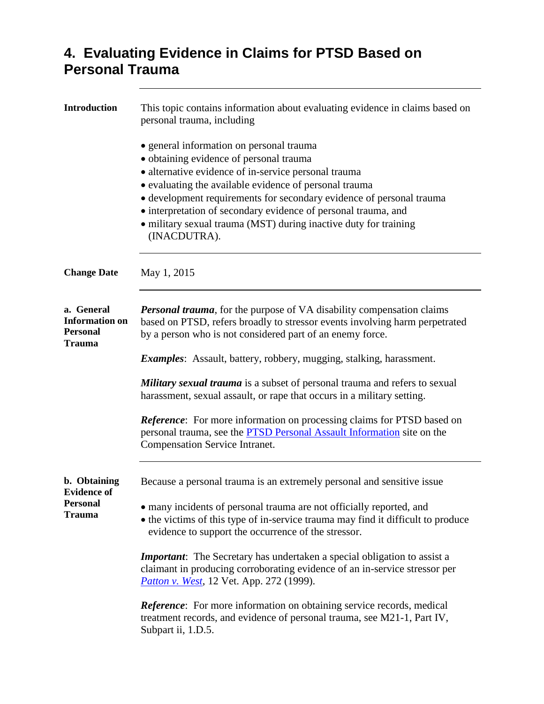## **4. Evaluating Evidence in Claims for PTSD Based on Personal Trauma**

| <b>Introduction</b>                                              | This topic contains information about evaluating evidence in claims based on<br>personal trauma, including                                                                                                                                                                                                                                                                                                                          |
|------------------------------------------------------------------|-------------------------------------------------------------------------------------------------------------------------------------------------------------------------------------------------------------------------------------------------------------------------------------------------------------------------------------------------------------------------------------------------------------------------------------|
|                                                                  | • general information on personal trauma<br>· obtaining evidence of personal trauma<br>• alternative evidence of in-service personal trauma<br>• evaluating the available evidence of personal trauma<br>• development requirements for secondary evidence of personal trauma<br>• interpretation of secondary evidence of personal trauma, and<br>• military sexual trauma (MST) during inactive duty for training<br>(INACDUTRA). |
| <b>Change Date</b>                                               | May 1, 2015                                                                                                                                                                                                                                                                                                                                                                                                                         |
| a. General<br><b>Information on</b><br><b>Personal</b><br>Trauma | <b>Personal trauma</b> , for the purpose of VA disability compensation claims<br>based on PTSD, refers broadly to stressor events involving harm perpetrated<br>by a person who is not considered part of an enemy force.                                                                                                                                                                                                           |
|                                                                  | <i>Examples:</i> Assault, battery, robbery, mugging, stalking, harassment.                                                                                                                                                                                                                                                                                                                                                          |
|                                                                  | Military sexual trauma is a subset of personal trauma and refers to sexual<br>harassment, sexual assault, or rape that occurs in a military setting.                                                                                                                                                                                                                                                                                |
|                                                                  | Reference: For more information on processing claims for PTSD based on<br>personal trauma, see the <b>PTSD</b> Personal Assault Information site on the<br><b>Compensation Service Intranet.</b>                                                                                                                                                                                                                                    |
| b. Obtaining<br><b>Evidence of</b>                               | Because a personal trauma is an extremely personal and sensitive issue                                                                                                                                                                                                                                                                                                                                                              |
| <b>Personal</b><br><b>Trauma</b>                                 | • many incidents of personal trauma are not officially reported, and<br>• the victims of this type of in-service trauma may find it difficult to produce<br>evidence to support the occurrence of the stressor.                                                                                                                                                                                                                     |
|                                                                  | <b>Important:</b> The Secretary has undertaken a special obligation to assist a<br>claimant in producing corroborating evidence of an in-service stressor per<br><i>Patton v. West</i> , 12 Vet. App. 272 (1999).                                                                                                                                                                                                                   |
|                                                                  | <b>Reference:</b> For more information on obtaining service records, medical<br>treatment records, and evidence of personal trauma, see M21-1, Part IV,<br>Subpart ii, 1.D.5.                                                                                                                                                                                                                                                       |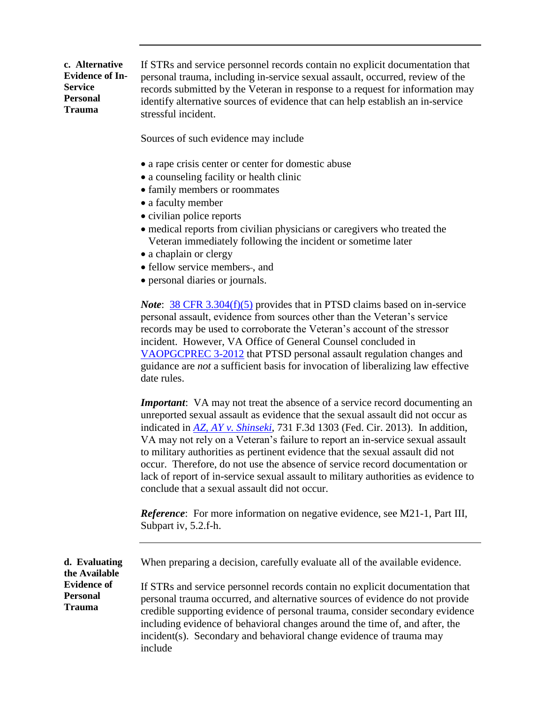**c. Alternative Evidence of In-Service Personal Trauma** If STRs and service personnel records contain no explicit documentation that personal trauma, including in-service sexual assault, occurred, review of the records submitted by the Veteran in response to a request for information may identify alternative sources of evidence that can help establish an in-service stressful incident.

Sources of such evidence may include

- a rape crisis center or center for domestic abuse
- a counseling facility or health clinic
- family members or roommates
- a faculty member
- civilian police reports
- medical reports from civilian physicians or caregivers who treated the Veteran immediately following the incident or sometime later
- a chaplain or clergy
- fellow service members-, and
- personal diaries or journals.

*Note*: **[38 CFR 3.304\(f\)\(5\)](http://www.ecfr.gov/cgi-bin/text-idx?SID=06cf8134ae45dfaba82182c69b61f6c7&node=se38.1.3_1304&rgn=div8)** provides that in PTSD claims based on in-service personal assault, evidence from sources other than the Veteran's service records may be used to corroborate the Veteran's account of the stressor incident. However, VA Office of General Counsel concluded in [VAOPGCPREC 3-2012](http://www.va.gov/OGC/docs/2012/P0312001.pdf) that PTSD personal assault regulation changes and guidance are *not* a sufficient basis for invocation of liberalizing law effective date rules.

*Important*: VA may not treat the absence of a service record documenting an unreported sexual assault as evidence that the sexual assault did not occur as indicated in *[AZ, AY v. Shinseki](http://cafc.uscourts.gov/images/stories/opinions-orders/12-7046.Opinion.9-26-2013.1.PDF)*, 731 F.3d 1303 (Fed. Cir. 2013). In addition, VA may not rely on a Veteran's failure to report an in-service sexual assault to military authorities as pertinent evidence that the sexual assault did not occur. Therefore, do not use the absence of service record documentation or lack of report of in-service sexual assault to military authorities as evidence to conclude that a sexual assault did not occur.

*Reference*: For more information on negative evidence, see M21-1, Part III, Subpart iv, 5.2.f-h.

**d. Evaluating the Available Evidence of Personal Trauma** When preparing a decision, carefully evaluate all of the available evidence. If STRs and service personnel records contain no explicit documentation that personal trauma occurred, and alternative sources of evidence do not provide credible supporting evidence of personal trauma, consider secondary evidence including evidence of behavioral changes around the time of, and after, the incident(s). Secondary and behavioral change evidence of trauma may

include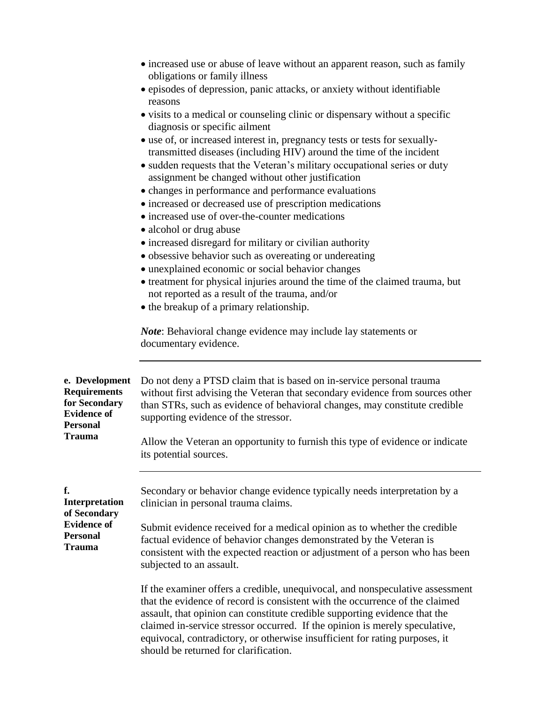| e. Development<br>Do not deny a PTSD claim that is based on in-service personal trauma<br><b>Requirements</b><br>without first advising the Veteran that secondary evidence from sources other<br>for Secondary<br>than STRs, such as evidence of behavioral changes, may constitute credible<br><b>Evidence of</b><br>supporting evidence of the stressor.<br><b>Personal</b><br>Trauma<br>Allow the Veteran an opportunity to furnish this type of evidence or indicate |                                                 | • increased use or abuse of leave without an apparent reason, such as family<br>obligations or family illness<br>• episodes of depression, panic attacks, or anxiety without identifiable<br>reasons<br>• visits to a medical or counseling clinic or dispensary without a specific<br>diagnosis or specific ailment<br>• use of, or increased interest in, pregnancy tests or tests for sexually-<br>transmitted diseases (including HIV) around the time of the incident<br>• sudden requests that the Veteran's military occupational series or duty<br>assignment be changed without other justification<br>• changes in performance and performance evaluations<br>• increased or decreased use of prescription medications<br>• increased use of over-the-counter medications<br>• alcohol or drug abuse<br>• increased disregard for military or civilian authority<br>• obsessive behavior such as overeating or undereating<br>· unexplained economic or social behavior changes<br>• treatment for physical injuries around the time of the claimed trauma, but<br>not reported as a result of the trauma, and/or<br>• the breakup of a primary relationship.<br><i>Note:</i> Behavioral change evidence may include lay statements or<br>documentary evidence. |
|---------------------------------------------------------------------------------------------------------------------------------------------------------------------------------------------------------------------------------------------------------------------------------------------------------------------------------------------------------------------------------------------------------------------------------------------------------------------------|-------------------------------------------------|---------------------------------------------------------------------------------------------------------------------------------------------------------------------------------------------------------------------------------------------------------------------------------------------------------------------------------------------------------------------------------------------------------------------------------------------------------------------------------------------------------------------------------------------------------------------------------------------------------------------------------------------------------------------------------------------------------------------------------------------------------------------------------------------------------------------------------------------------------------------------------------------------------------------------------------------------------------------------------------------------------------------------------------------------------------------------------------------------------------------------------------------------------------------------------------------------------------------------------------------------------------------------|
|                                                                                                                                                                                                                                                                                                                                                                                                                                                                           |                                                 |                                                                                                                                                                                                                                                                                                                                                                                                                                                                                                                                                                                                                                                                                                                                                                                                                                                                                                                                                                                                                                                                                                                                                                                                                                                                           |
|                                                                                                                                                                                                                                                                                                                                                                                                                                                                           | f.<br>Interpretation<br>of Secondary            | Secondary or behavior change evidence typically needs interpretation by a<br>clinician in personal trauma claims.                                                                                                                                                                                                                                                                                                                                                                                                                                                                                                                                                                                                                                                                                                                                                                                                                                                                                                                                                                                                                                                                                                                                                         |
|                                                                                                                                                                                                                                                                                                                                                                                                                                                                           | <b>Evidence of</b><br><b>Personal</b><br>Trauma | Submit evidence received for a medical opinion as to whether the credible<br>factual evidence of behavior changes demonstrated by the Veteran is<br>consistent with the expected reaction or adjustment of a person who has been<br>subjected to an assault.                                                                                                                                                                                                                                                                                                                                                                                                                                                                                                                                                                                                                                                                                                                                                                                                                                                                                                                                                                                                              |
|                                                                                                                                                                                                                                                                                                                                                                                                                                                                           |                                                 | If the examiner offers a credible, unequivocal, and nonspeculative assessment<br>that the evidence of record is consistent with the occurrence of the claimed<br>assault, that opinion can constitute credible supporting evidence that the<br>claimed in-service stressor occurred. If the opinion is merely speculative,<br>equivocal, contradictory, or otherwise insufficient for rating purposes, it                                                                                                                                                                                                                                                                                                                                                                                                                                                                                                                                                                                                                                                                                                                                                                                                                                                                 |

should be returned for clarification.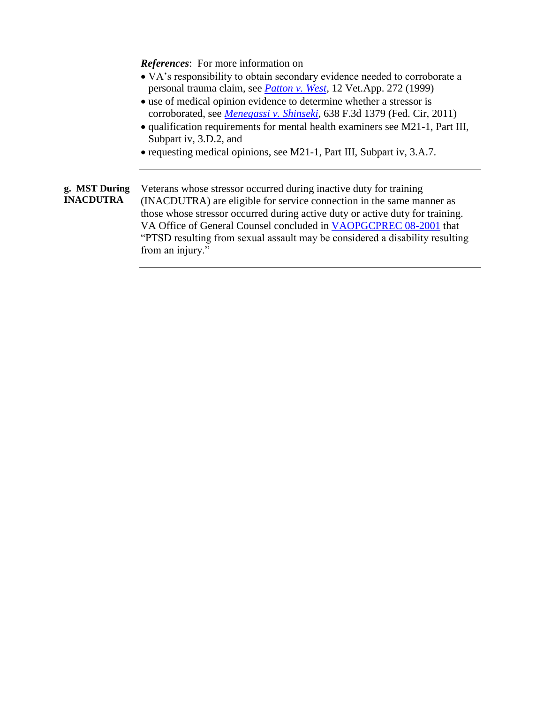*References*: For more information on

- VA's responsibility to obtain secondary evidence needed to corroborate a personal trauma claim, see *[Patton v. West,](http://vbaw.vba.va.gov/bl/21/Advisory/CAVCDAD.htm#bmp)* 12 Vet.App. 272 (1999)
- use of medical opinion evidence to determine whether a stressor is corroborated, see *[Menegassi v. Shinseki](http://vbaw.vba.va.gov/bl/21/advisory/CAVCDAD.htm#bmm)*, 638 F.3d 1379 (Fed. Cir, 2011)
- qualification requirements for mental health examiners see M21-1, Part III, Subpart iv, 3.D.2, and
- requesting medical opinions, see M21-1, Part III, Subpart iv, 3.A.7.

**g. MST During INACDUTRA** Veterans whose stressor occurred during inactive duty for training (INACDUTRA) are eligible for service connection in the same manner as those whose stressor occurred during active duty or active duty for training. VA Office of General Counsel concluded in [VAOPGCPREC 08-2001](http://www4.va.gov/ogc/docs/2001/prc08-2001.doc) that "PTSD resulting from sexual assault may be considered a disability resulting from an injury."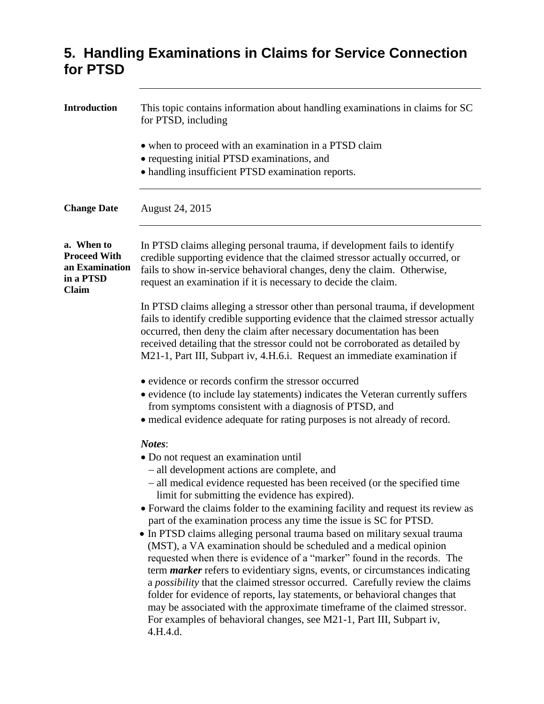### **5. Handling Examinations in Claims for Service Connection for PTSD**

| <b>Introduction</b>                                                       | This topic contains information about handling examinations in claims for SC<br>for PTSD, including<br>• when to proceed with an examination in a PTSD claim<br>• requesting initial PTSD examinations, and<br>• handling insufficient PTSD examination reports.                                                                                                                                                                                                                                                                                                                                                                                                                                                                                                                                                                                                                                                                                                                                                                             |
|---------------------------------------------------------------------------|----------------------------------------------------------------------------------------------------------------------------------------------------------------------------------------------------------------------------------------------------------------------------------------------------------------------------------------------------------------------------------------------------------------------------------------------------------------------------------------------------------------------------------------------------------------------------------------------------------------------------------------------------------------------------------------------------------------------------------------------------------------------------------------------------------------------------------------------------------------------------------------------------------------------------------------------------------------------------------------------------------------------------------------------|
| <b>Change Date</b>                                                        | August 24, 2015                                                                                                                                                                                                                                                                                                                                                                                                                                                                                                                                                                                                                                                                                                                                                                                                                                                                                                                                                                                                                              |
| a. When to<br><b>Proceed With</b><br>an Examination<br>in a PTSD<br>Claim | In PTSD claims alleging personal trauma, if development fails to identify<br>credible supporting evidence that the claimed stressor actually occurred, or<br>fails to show in-service behavioral changes, deny the claim. Otherwise,<br>request an examination if it is necessary to decide the claim.                                                                                                                                                                                                                                                                                                                                                                                                                                                                                                                                                                                                                                                                                                                                       |
|                                                                           | In PTSD claims alleging a stressor other than personal trauma, if development<br>fails to identify credible supporting evidence that the claimed stressor actually<br>occurred, then deny the claim after necessary documentation has been<br>received detailing that the stressor could not be corroborated as detailed by<br>M21-1, Part III, Subpart iv, 4.H.6.i. Request an immediate examination if                                                                                                                                                                                                                                                                                                                                                                                                                                                                                                                                                                                                                                     |
|                                                                           | • evidence or records confirm the stressor occurred<br>• evidence (to include lay statements) indicates the Veteran currently suffers<br>from symptoms consistent with a diagnosis of PTSD, and<br>• medical evidence adequate for rating purposes is not already of record.                                                                                                                                                                                                                                                                                                                                                                                                                                                                                                                                                                                                                                                                                                                                                                 |
|                                                                           | Notes:<br>• Do not request an examination until<br>- all development actions are complete, and<br>- all medical evidence requested has been received (or the specified time<br>limit for submitting the evidence has expired).<br>• Forward the claims folder to the examining facility and request its review as<br>part of the examination process any time the issue is SC for PTSD.<br>• In PTSD claims alleging personal trauma based on military sexual trauma<br>(MST), a VA examination should be scheduled and a medical opinion<br>requested when there is evidence of a "marker" found in the records. The<br>term <i>marker</i> refers to evidentiary signs, events, or circumstances indicating<br>a possibility that the claimed stressor occurred. Carefully review the claims<br>folder for evidence of reports, lay statements, or behavioral changes that<br>may be associated with the approximate timeframe of the claimed stressor.<br>For examples of behavioral changes, see M21-1, Part III, Subpart iv,<br>4.H.4.d. |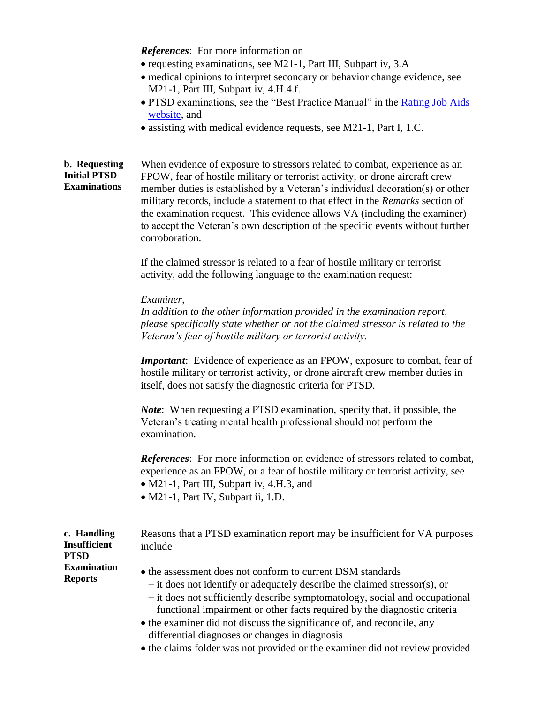*References*: For more information on

- requesting examinations, see M21-1, Part III, Subpart iv, 3.A
- medical opinions to interpret secondary or behavior change evidence, see M21-1, Part III, Subpart iv, 4.H.4.f.
- PTSD examinations, see the "Best Practice Manual" in the Rating Job Aids [website,](http://vbaw.vba.va.gov/bl/21/Rating/rat01.htm) and
- assisting with medical evidence requests, see M21-1, Part I, 1.C.

**b. Requesting Initial PTSD Examinations** When evidence of exposure to stressors related to combat, experience as an FPOW, fear of hostile military or terrorist activity, or drone aircraft crew member duties is established by a Veteran's individual decoration(s) or other military records, include a statement to that effect in the *Remarks* section of the examination request. This evidence allows VA (including the examiner) to accept the Veteran's own description of the specific events without further corroboration.

> If the claimed stressor is related to a fear of hostile military or terrorist activity, add the following language to the examination request:

*Examiner,*

*In addition to the other information provided in the examination report, please specifically state whether or not the claimed stressor is related to the Veteran's fear of hostile military or terrorist activity.*

*Important*: Evidence of experience as an FPOW, exposure to combat, fear of hostile military or terrorist activity, or drone aircraft crew member duties in itself, does not satisfy the diagnostic criteria for PTSD.

*Note*: When requesting a PTSD examination, specify that, if possible, the Veteran's treating mental health professional should not perform the examination.

*References*: For more information on evidence of stressors related to combat, experience as an FPOW, or a fear of hostile military or terrorist activity, see

- M21-1, Part III, Subpart iv, 4.H.3, and
- M21-1, Part IV, Subpart ii, 1.D.

|                     | c. Handling |  |
|---------------------|-------------|--|
| <b>Insufficient</b> |             |  |
| <b>PTSD</b>         |             |  |
| <b>Examination</b>  |             |  |
| <b>Reports</b>      |             |  |

Reasons that a PTSD examination report may be insufficient for VA purposes include

- the assessment does not conform to current DSM standards
	- $\overline{\phantom{a}}$  it does not identify or adequately describe the claimed stressor(s), or
	- it does not sufficiently describe symptomatology, social and occupational functional impairment or other facts required by the diagnostic criteria
- the examiner did not discuss the significance of, and reconcile, any differential diagnoses or changes in diagnosis
- the claims folder was not provided or the examiner did not review provided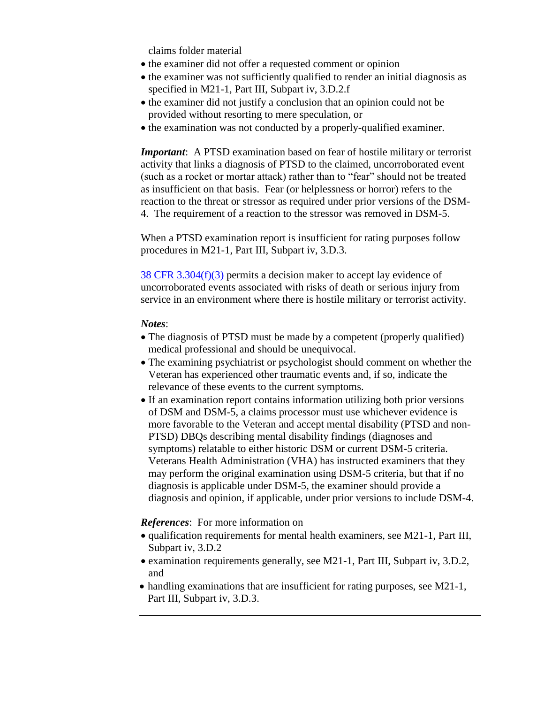claims folder material

- the examiner did not offer a requested comment or opinion
- the examiner was not sufficiently qualified to render an initial diagnosis as specified in M21-1, Part III, Subpart iv, 3.D.2.f
- the examiner did not justify a conclusion that an opinion could not be provided without resorting to mere speculation, or
- the examination was not conducted by a properly-qualified examiner.

*Important*: A PTSD examination based on fear of hostile military or terrorist activity that links a diagnosis of PTSD to the claimed, uncorroborated event (such as a rocket or mortar attack) rather than to "fear" should not be treated as insufficient on that basis. Fear (or helplessness or horror) refers to the reaction to the threat or stressor as required under prior versions of the DSM-4. The requirement of a reaction to the stressor was removed in DSM-5.

When a PTSD examination report is insufficient for rating purposes follow procedures in M21-1, Part III, Subpart iv, 3.D.3.

[38 CFR 3.304\(f\)\(3\)](http://www.ecfr.gov/cgi-bin/text-idx?SID=06cf8134ae45dfaba82182c69b61f6c7&node=se38.1.3_1304&rgn=div8) permits a decision maker to accept lay evidence of uncorroborated events associated with risks of death or serious injury from service in an environment where there is hostile military or terrorist activity.

#### *Notes*:

- The diagnosis of PTSD must be made by a competent (properly qualified) medical professional and should be unequivocal.
- The examining psychiatrist or psychologist should comment on whether the Veteran has experienced other traumatic events and, if so, indicate the relevance of these events to the current symptoms.
- If an examination report contains information utilizing both prior versions of DSM and DSM-5, a claims processor must use whichever evidence is more favorable to the Veteran and accept mental disability (PTSD and non-PTSD) DBQs describing mental disability findings (diagnoses and symptoms) relatable to either historic DSM or current DSM-5 criteria. Veterans Health Administration (VHA) has instructed examiners that they may perform the original examination using DSM-5 criteria, but that if no diagnosis is applicable under DSM-5, the examiner should provide a diagnosis and opinion, if applicable, under prior versions to include DSM-4.

#### *References*: For more information on

- qualification requirements for mental health examiners, see M21-1, Part III, Subpart iv, 3.D.2
- examination requirements generally, see M21-1, Part III, Subpart iv, 3.D.2, and
- handling examinations that are insufficient for rating purposes, see M21-1, Part III, Subpart iv, 3.D.3.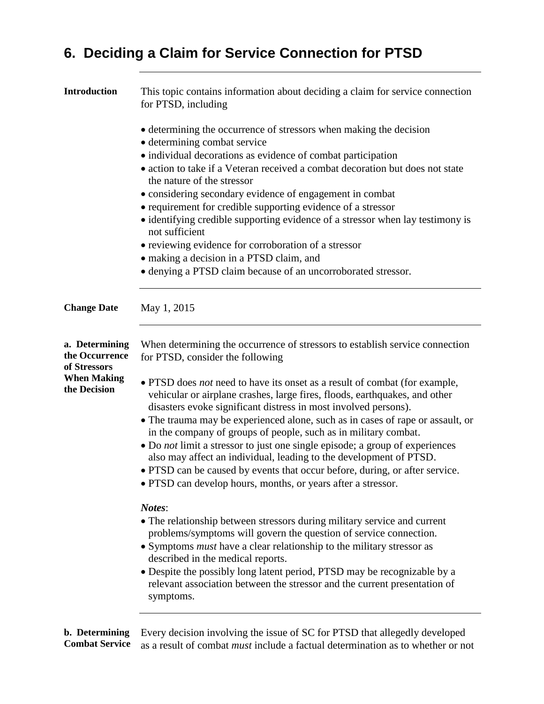# **6. Deciding a Claim for Service Connection for PTSD**

| <b>Introduction</b>                              | This topic contains information about deciding a claim for service connection<br>for PTSD, including                                                                                                                                                                                                                                                                                                                                                                                                                                                                                                                                                                                   |  |  |
|--------------------------------------------------|----------------------------------------------------------------------------------------------------------------------------------------------------------------------------------------------------------------------------------------------------------------------------------------------------------------------------------------------------------------------------------------------------------------------------------------------------------------------------------------------------------------------------------------------------------------------------------------------------------------------------------------------------------------------------------------|--|--|
|                                                  | • determining the occurrence of stressors when making the decision<br>· determining combat service<br>• individual decorations as evidence of combat participation<br>• action to take if a Veteran received a combat decoration but does not state<br>the nature of the stressor<br>• considering secondary evidence of engagement in combat<br>• requirement for credible supporting evidence of a stressor<br>• identifying credible supporting evidence of a stressor when lay testimony is<br>not sufficient<br>• reviewing evidence for corroboration of a stressor<br>• making a decision in a PTSD claim, and<br>• denying a PTSD claim because of an uncorroborated stressor. |  |  |
| <b>Change Date</b>                               | May 1, 2015                                                                                                                                                                                                                                                                                                                                                                                                                                                                                                                                                                                                                                                                            |  |  |
| a. Determining<br>the Occurrence<br>of Stressors | When determining the occurrence of stressors to establish service connection<br>for PTSD, consider the following                                                                                                                                                                                                                                                                                                                                                                                                                                                                                                                                                                       |  |  |
| <b>When Making</b><br>the Decision               | • PTSD does not need to have its onset as a result of combat (for example,<br>vehicular or airplane crashes, large fires, floods, earthquakes, and other<br>disasters evoke significant distress in most involved persons).                                                                                                                                                                                                                                                                                                                                                                                                                                                            |  |  |
|                                                  | • The trauma may be experienced alone, such as in cases of rape or assault, or<br>in the company of groups of people, such as in military combat.<br>• Do not limit a stressor to just one single episode; a group of experiences                                                                                                                                                                                                                                                                                                                                                                                                                                                      |  |  |
|                                                  | also may affect an individual, leading to the development of PTSD.<br>• PTSD can be caused by events that occur before, during, or after service.<br>• PTSD can develop hours, months, or years after a stressor.                                                                                                                                                                                                                                                                                                                                                                                                                                                                      |  |  |
|                                                  | Notes:<br>• The relationship between stressors during military service and current                                                                                                                                                                                                                                                                                                                                                                                                                                                                                                                                                                                                     |  |  |
|                                                  | problems/symptoms will govern the question of service connection.<br>• Symptoms <i>must</i> have a clear relationship to the military stressor as<br>described in the medical reports.                                                                                                                                                                                                                                                                                                                                                                                                                                                                                                 |  |  |
|                                                  | • Despite the possibly long latent period, PTSD may be recognizable by a<br>relevant association between the stressor and the current presentation of<br>symptoms.                                                                                                                                                                                                                                                                                                                                                                                                                                                                                                                     |  |  |
|                                                  | <b>h.</b> Determining Every decision involving the issue of SC for PTSD that allegedly developed                                                                                                                                                                                                                                                                                                                                                                                                                                                                                                                                                                                       |  |  |

**b. Determining** Every decision involving the issue of SC for PTSD that allegedly developed **Combat Service** as a result of combat *must* include a factual determination as to whether or not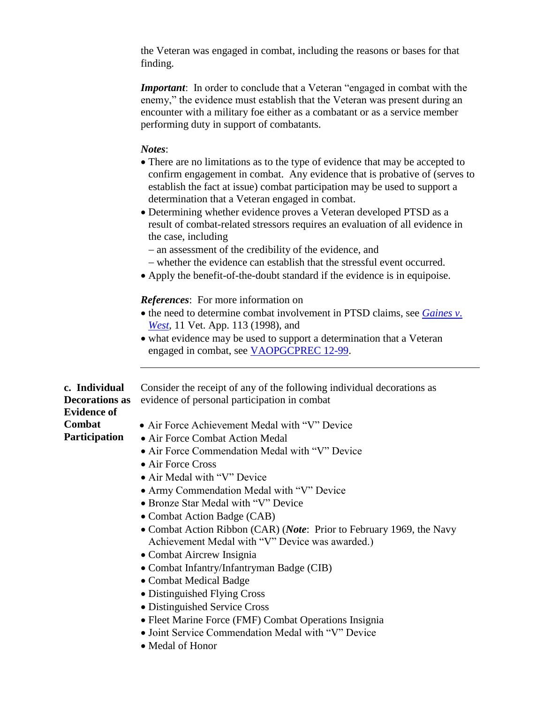the Veteran was engaged in combat, including the reasons or bases for that finding.

*Important*: In order to conclude that a Veteran "engaged in combat with the enemy," the evidence must establish that the Veteran was present during an encounter with a military foe either as a combatant or as a service member performing duty in support of combatants.

### *Notes*:

- There are no limitations as to the type of evidence that may be accepted to confirm engagement in combat. Any evidence that is probative of (serves to establish the fact at issue) combat participation may be used to support a determination that a Veteran engaged in combat.
- Determining whether evidence proves a Veteran developed PTSD as a result of combat-related stressors requires an evaluation of all evidence in the case, including
	- an assessment of the credibility of the evidence, and
	- whether the evidence can establish that the stressful event occurred.
- Apply the benefit-of-the-doubt standard if the evidence is in equipoise.

### *References*: For more information on

- the need to determine combat involvement in PTSD claims, see *[Gaines](http://vbaw.vba.va.gov/bl/21/Advisory/CAVCDAD.htm#bmg) v*. *West*, 11 Vet. App. 113 (1998), and
- what evidence may be used to support a determination that a Veteran engaged in combat, see [VAOPGCPREC 12-99.](http://vbaw.vba.va.gov/bl/21/Advisory/PRECOP/99op/Prc12_99.doc)

**c. Individual**  Consider the receipt of any of the following individual decorations as evidence of personal participation in combat

### **Decorations as Evidence of Combat Participation**

- Air Force Achievement Medal with "V" Device
- Air Force Combat Action Medal
	- Air Force Commendation Medal with "V" Device
	- Air Force Cross
	- Air Medal with "V" Device
	- Army Commendation Medal with "V" Device
	- Bronze Star Medal with "V" Device
	- Combat Action Badge (CAB)
	- Combat Action Ribbon (CAR) (*Note*: Prior to February 1969, the Navy Achievement Medal with "V" Device was awarded.)
	- Combat Aircrew Insignia
- Combat Infantry/Infantryman Badge (CIB)
- Combat Medical Badge
- Distinguished Flying Cross
- Distinguished Service Cross
- Fleet Marine Force (FMF) Combat Operations Insignia
- Joint Service Commendation Medal with "V" Device
- Medal of Honor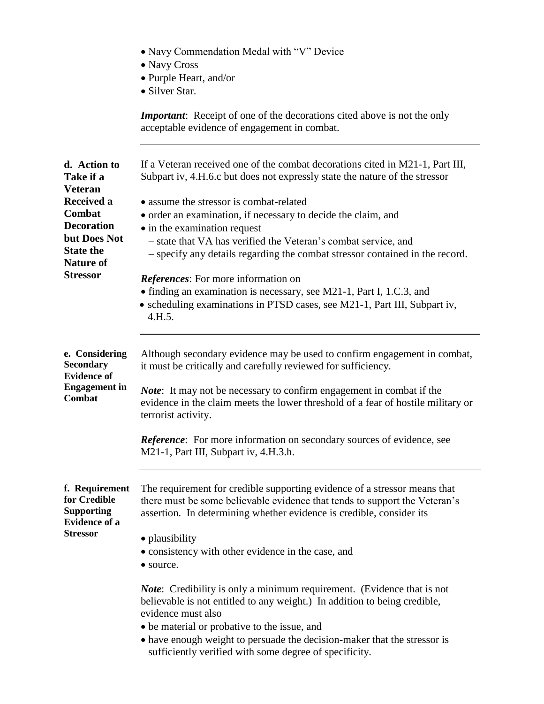|                                                                                                | • Navy Commendation Medal with "V" Device                                                                                                                                                                                         |  |
|------------------------------------------------------------------------------------------------|-----------------------------------------------------------------------------------------------------------------------------------------------------------------------------------------------------------------------------------|--|
|                                                                                                | • Navy Cross<br>• Purple Heart, and/or                                                                                                                                                                                            |  |
|                                                                                                | • Silver Star.                                                                                                                                                                                                                    |  |
|                                                                                                | <b>Important:</b> Receipt of one of the decorations cited above is not the only<br>acceptable evidence of engagement in combat.                                                                                                   |  |
| d. Action to<br>Take if a<br><b>Veteran</b>                                                    | If a Veteran received one of the combat decorations cited in M21-1, Part III,<br>Subpart iv, 4.H.6.c but does not expressly state the nature of the stressor                                                                      |  |
| <b>Received a</b>                                                                              | • assume the stressor is combat-related                                                                                                                                                                                           |  |
| Combat<br><b>Decoration</b>                                                                    | • order an examination, if necessary to decide the claim, and                                                                                                                                                                     |  |
| but Does Not                                                                                   | • in the examination request<br>- state that VA has verified the Veteran's combat service, and                                                                                                                                    |  |
| <b>State the</b>                                                                               | - specify any details regarding the combat stressor contained in the record.                                                                                                                                                      |  |
| <b>Nature of</b>                                                                               |                                                                                                                                                                                                                                   |  |
| <b>Stressor</b>                                                                                | <i>References:</i> For more information on                                                                                                                                                                                        |  |
|                                                                                                | • finding an examination is necessary, see M21-1, Part I, 1.C.3, and<br>• scheduling examinations in PTSD cases, see M21-1, Part III, Subpart iv,<br>4.H.5.                                                                       |  |
| e. Considering<br><b>Secondary</b>                                                             | Although secondary evidence may be used to confirm engagement in combat,<br>it must be critically and carefully reviewed for sufficiency.                                                                                         |  |
| <b>Evidence of</b>                                                                             |                                                                                                                                                                                                                                   |  |
| <b>Engagement</b> in<br>Combat                                                                 | <i>Note</i> : It may not be necessary to confirm engagement in combat if the<br>evidence in the claim meets the lower threshold of a fear of hostile military or<br>terrorist activity.                                           |  |
|                                                                                                | <b>Reference:</b> For more information on secondary sources of evidence, see<br>M21-1, Part III, Subpart iv, 4.H.3.h.                                                                                                             |  |
| f. Requirement<br>for Credible<br><b>Supporting</b><br><b>Evidence of a</b><br><b>Stressor</b> | The requirement for credible supporting evidence of a stressor means that<br>there must be some believable evidence that tends to support the Veteran's<br>assertion. In determining whether evidence is credible, consider its   |  |
|                                                                                                | • plausibility<br>• consistency with other evidence in the case, and<br>• source.                                                                                                                                                 |  |
|                                                                                                | <i>Note</i> : Credibility is only a minimum requirement. (Evidence that is not<br>believable is not entitled to any weight.) In addition to being credible,<br>evidence must also<br>• be material or probative to the issue, and |  |
|                                                                                                | • have enough weight to persuade the decision-maker that the stressor is<br>sufficiently verified with some degree of specificity.                                                                                                |  |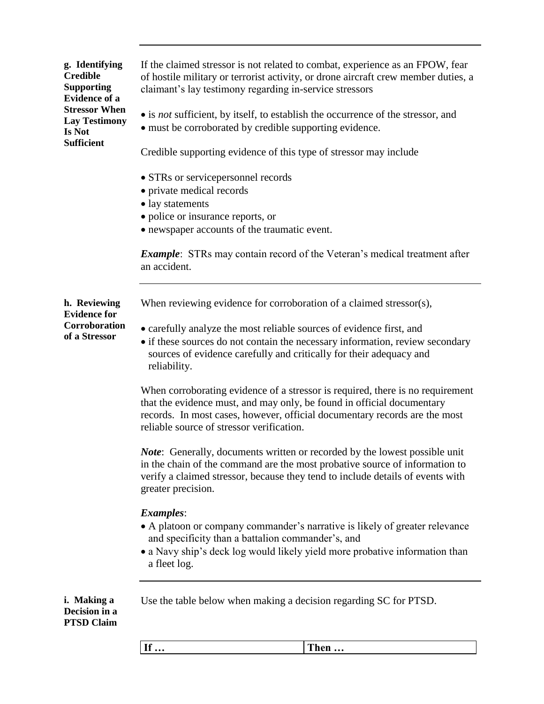**g. Identifying Credible Supporting Evidence of a Stressor When Lay Testimony Is Not Sufficient**

If the claimed stressor is not related to combat, experience as an FPOW, fear of hostile military or terrorist activity, or drone aircraft crew member duties, a claimant's lay testimony regarding in-service stressors

- is *not* sufficient, by itself, to establish the occurrence of the stressor, and
- must be corroborated by credible supporting evidence.

Credible supporting evidence of this type of stressor may include

- STRs or servicepersonnel records
- private medical records
- lay statements
- police or insurance reports, or
- newspaper accounts of the traumatic event.

*Example*: STRs may contain record of the Veteran's medical treatment after an accident.

**h. Reviewing**  When reviewing evidence for corroboration of a claimed stressor(s),

**Evidence for Corroboration of a Stressor**

- carefully analyze the most reliable sources of evidence first, and
- if these sources do not contain the necessary information, review secondary sources of evidence carefully and critically for their adequacy and reliability.

When corroborating evidence of a stressor is required, there is no requirement that the evidence must, and may only, be found in official documentary records. In most cases, however, official documentary records are the most reliable source of stressor verification.

*Note*: Generally, documents written or recorded by the lowest possible unit in the chain of the command are the most probative source of information to verify a claimed stressor, because they tend to include details of events with greater precision.

### *Examples*:

- A platoon or company commander's narrative is likely of greater relevance and specificity than a battalion commander's, and
- a Navy ship's deck log would likely yield more probative information than a fleet log.

**i. Making a Decision in a PTSD Claim** Use the table below when making a decision regarding SC for PTSD.

| $\epsilon$<br>$ -$<br>1 11 <b>111</b><br> |
|-------------------------------------------|
|-------------------------------------------|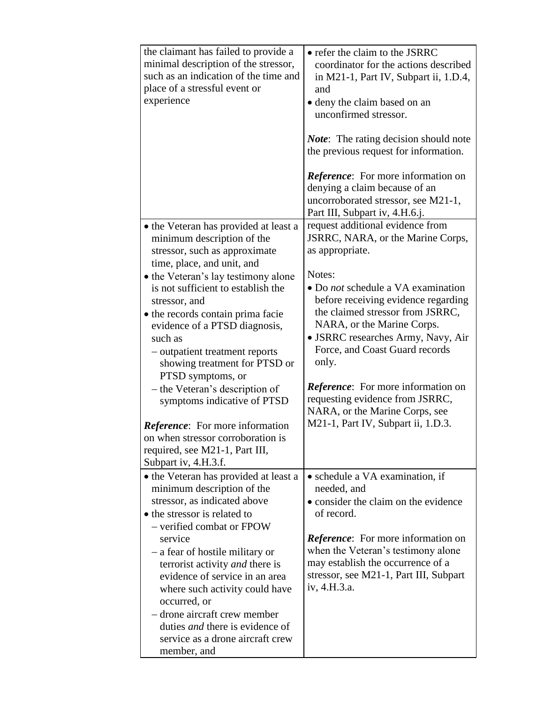| the claimant has failed to provide a<br>minimal description of the stressor,<br>such as an indication of the time and<br>place of a stressful event or<br>experience                                                                                                                                                                                                                                                                                                                                                                                                                                                 | • refer the claim to the JSRRC<br>coordinator for the actions described<br>in M21-1, Part IV, Subpart ii, 1.D.4,<br>and<br>• deny the claim based on an<br>unconfirmed stressor.<br><b><i>Note:</i></b> The rating decision should note<br>the previous request for information.<br><i>Reference</i> : For more information on<br>denying a claim because of an<br>uncorroborated stressor, see M21-1,<br>Part III, Subpart iv, 4.H.6.j.                                            |
|----------------------------------------------------------------------------------------------------------------------------------------------------------------------------------------------------------------------------------------------------------------------------------------------------------------------------------------------------------------------------------------------------------------------------------------------------------------------------------------------------------------------------------------------------------------------------------------------------------------------|-------------------------------------------------------------------------------------------------------------------------------------------------------------------------------------------------------------------------------------------------------------------------------------------------------------------------------------------------------------------------------------------------------------------------------------------------------------------------------------|
| • the Veteran has provided at least a<br>minimum description of the<br>stressor, such as approximate<br>time, place, and unit, and<br>• the Veteran's lay testimony alone<br>is not sufficient to establish the<br>stressor, and<br>• the records contain prima facie<br>evidence of a PTSD diagnosis,<br>such as<br>- outpatient treatment reports<br>showing treatment for PTSD or<br>PTSD symptoms, or<br>- the Veteran's description of<br>symptoms indicative of PTSD<br><i>Reference</i> : For more information<br>on when stressor corroboration is<br>required, see M21-1, Part III,<br>Subpart iv, 4.H.3.f. | request additional evidence from<br>JSRRC, NARA, or the Marine Corps,<br>as appropriate.<br>Notes:<br>• Do not schedule a VA examination<br>before receiving evidence regarding<br>the claimed stressor from JSRRC,<br>NARA, or the Marine Corps.<br>• JSRRC researches Army, Navy, Air<br>Force, and Coast Guard records<br>only.<br>Reference: For more information on<br>requesting evidence from JSRRC,<br>NARA, or the Marine Corps, see<br>M21-1, Part IV, Subpart ii, 1.D.3. |
| • the Veteran has provided at least a<br>minimum description of the<br>stressor, as indicated above<br>• the stressor is related to<br>- verified combat or FPOW<br>service<br>- a fear of hostile military or<br>terrorist activity and there is<br>evidence of service in an area<br>where such activity could have<br>occurred, or<br>- drone aircraft crew member<br>duties <i>and</i> there is evidence of<br>service as a drone aircraft crew<br>member, and                                                                                                                                                   | • schedule a VA examination, if<br>needed, and<br>• consider the claim on the evidence<br>of record.<br><i>Reference</i> : For more information on<br>when the Veteran's testimony alone<br>may establish the occurrence of a<br>stressor, see M21-1, Part III, Subpart<br>iv, 4.H.3.a.                                                                                                                                                                                             |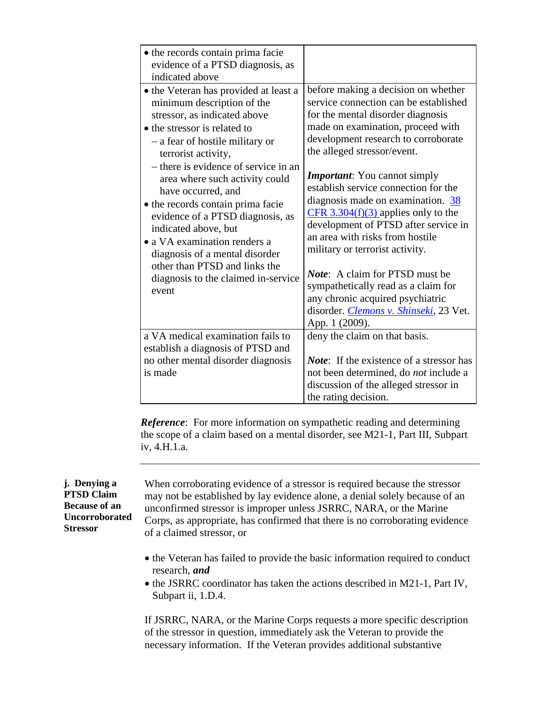| • the records contain prima facie<br>evidence of a PTSD diagnosis, as<br>indicated above                                                                                                                                                                                                                                                                                                                                                                                                          |                                                                                                                                                                                                                                                                                                                                                                                                                                                                                                         |
|---------------------------------------------------------------------------------------------------------------------------------------------------------------------------------------------------------------------------------------------------------------------------------------------------------------------------------------------------------------------------------------------------------------------------------------------------------------------------------------------------|---------------------------------------------------------------------------------------------------------------------------------------------------------------------------------------------------------------------------------------------------------------------------------------------------------------------------------------------------------------------------------------------------------------------------------------------------------------------------------------------------------|
| • the Veteran has provided at least a<br>minimum description of the<br>stressor, as indicated above<br>• the stressor is related to<br>- a fear of hostile military or<br>terrorist activity,<br>- there is evidence of service in an<br>area where such activity could<br>have occurred, and<br>• the records contain prima facie<br>evidence of a PTSD diagnosis, as<br>indicated above, but<br>• a VA examination renders a<br>diagnosis of a mental disorder<br>other than PTSD and links the | before making a decision on whether<br>service connection can be established<br>for the mental disorder diagnosis<br>made on examination, proceed with<br>development research to corroborate<br>the alleged stressor/event.<br><b>Important:</b> You cannot simply<br>establish service connection for the<br>diagnosis made on examination. 38<br>$CFR$ 3.304(f)(3) applies only to the<br>development of PTSD after service in<br>an area with risks from hostile<br>military or terrorist activity. |
| diagnosis to the claimed in-service<br>event                                                                                                                                                                                                                                                                                                                                                                                                                                                      | <b>Note:</b> A claim for PTSD must be<br>sympathetically read as a claim for<br>any chronic acquired psychiatric<br>disorder. Clemons v. Shinseki, 23 Vet.<br>App. 1 (2009).                                                                                                                                                                                                                                                                                                                            |
| a VA medical examination fails to                                                                                                                                                                                                                                                                                                                                                                                                                                                                 | deny the claim on that basis.                                                                                                                                                                                                                                                                                                                                                                                                                                                                           |
| establish a diagnosis of PTSD and                                                                                                                                                                                                                                                                                                                                                                                                                                                                 |                                                                                                                                                                                                                                                                                                                                                                                                                                                                                                         |
| no other mental disorder diagnosis                                                                                                                                                                                                                                                                                                                                                                                                                                                                | <i>Note</i> : If the existence of a stressor has                                                                                                                                                                                                                                                                                                                                                                                                                                                        |
| is made                                                                                                                                                                                                                                                                                                                                                                                                                                                                                           | not been determined, do <i>not</i> include a                                                                                                                                                                                                                                                                                                                                                                                                                                                            |
|                                                                                                                                                                                                                                                                                                                                                                                                                                                                                                   | discussion of the alleged stressor in                                                                                                                                                                                                                                                                                                                                                                                                                                                                   |
|                                                                                                                                                                                                                                                                                                                                                                                                                                                                                                   | the rating decision.                                                                                                                                                                                                                                                                                                                                                                                                                                                                                    |

*Reference*: For more information on sympathetic reading and determining the scope of a claim based on a mental disorder, see M21-1, Part III, Subpart iv, 4.H.1.a.

### **j. Denying a PTSD Claim Because of an Uncorroborated Stressor**

When corroborating evidence of a stressor is required because the stressor may not be established by lay evidence alone, a denial solely because of an unconfirmed stressor is improper unless JSRRC, NARA, or the Marine Corps, as appropriate, has confirmed that there is no corroborating evidence of a claimed stressor, or

- the Veteran has failed to provide the basic information required to conduct research, *and*
- the JSRRC coordinator has taken the actions described in M21-1, Part IV, Subpart ii, 1.D.4.

If JSRRC, NARA, or the Marine Corps requests a more specific description of the stressor in question, immediately ask the Veteran to provide the necessary information. If the Veteran provides additional substantive